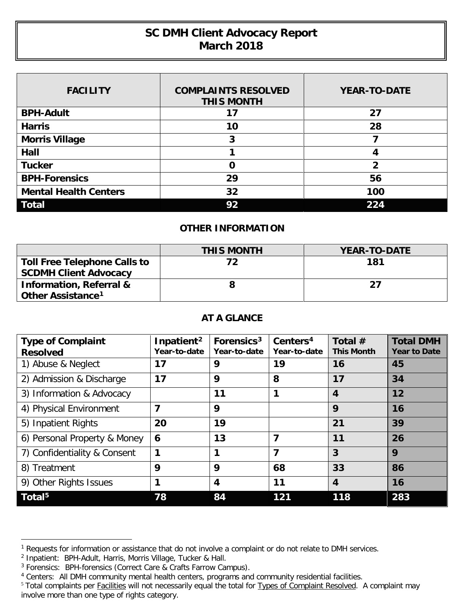## **SC DMH Client Advocacy Report March 2018**

| <b>FACILITY</b>              | <b>COMPLAINTS RESOLVED</b><br><b>THIS MONTH</b> | <b>YEAR-TO-DATE</b> |
|------------------------------|-------------------------------------------------|---------------------|
| <b>BPH-Adult</b>             | 17                                              | 27                  |
| <b>Harris</b>                | 10                                              | 28                  |
| <b>Morris Village</b>        | 3                                               |                     |
| Hall                         |                                                 | Δ                   |
| <b>Tucker</b>                | O                                               | 2                   |
| <b>BPH-Forensics</b>         | 29                                              | 56                  |
| <b>Mental Health Centers</b> | 32                                              | 100                 |
| <b>Total</b>                 | 92                                              | 224                 |

## **OTHER INFORMATION**

|                                     | <b>THIS MONTH</b> | <b>YEAR-TO-DATE</b> |
|-------------------------------------|-------------------|---------------------|
| <b>Toll Free Telephone Calls to</b> | 72                | 181                 |
| <b>SCDMH Client Advocacy</b>        |                   |                     |
| <b>Information, Referral &amp;</b>  |                   | 27                  |
| Other Assistance <sup>1</sup>       |                   |                     |

## **AT A GLANCE**

| <b>Type of Complaint</b><br><b>Resolved</b> | Inpatient <sup>2</sup><br>Year-to-date | Forensics <sup>3</sup><br>Year-to-date | Centers <sup>4</sup><br>Year-to-date | Total $#$<br><b>This Month</b> | <b>Total DMH</b><br><b>Year to Date</b> |
|---------------------------------------------|----------------------------------------|----------------------------------------|--------------------------------------|--------------------------------|-----------------------------------------|
| 1) Abuse & Neglect                          | 17                                     | 9                                      | 19                                   | 16                             | 45                                      |
| 2) Admission & Discharge                    | 17                                     | 9                                      | 8                                    | 17                             | 34                                      |
| 3) Information & Advocacy                   |                                        | 11                                     | 1                                    | $\boldsymbol{4}$               | 12                                      |
| 4) Physical Environment                     | 7                                      | 9                                      |                                      | 9                              | 16                                      |
| 5) Inpatient Rights                         | 20                                     | 19                                     |                                      | 21                             | 39                                      |
| 6) Personal Property & Money                | $\mathbf 6$                            | 13                                     | 7                                    | 11                             | 26                                      |
| 7) Confidentiality & Consent                | 1                                      | 1                                      | 7                                    | 3                              | 9                                       |
| 8) Treatment                                | 9                                      | 9                                      | 68                                   | 33                             | 86                                      |
| 9) Other Rights Issues                      | 1                                      | $\overline{4}$                         | 11                                   | $\boldsymbol{4}$               | 16                                      |
| Total <sup>5</sup>                          | 78                                     | 84                                     | 121                                  | 118                            | 283                                     |

 $\overline{a}$ 

<span id="page-0-0"></span><sup>&</sup>lt;sup>1</sup> Requests for information or assistance that do not involve a complaint or do not relate to DMH services.

<span id="page-0-1"></span><sup>&</sup>lt;sup>2</sup> Inpatient: BPH-Adult, Harris, Morris Village, Tucker & Hall.

<span id="page-0-2"></span><sup>&</sup>lt;sup>3</sup> Forensics: BPH-forensics (Correct Care & Crafts Farrow Campus).

<span id="page-0-3"></span><sup>4</sup> Centers: All DMH community mental health centers, programs and community residential facilities.

<span id="page-0-4"></span><sup>&</sup>lt;sup>5</sup> Total complaints per Facilities will not necessarily equal the total for Types of Complaint Resolved. A complaint may involve more than one type of rights category.